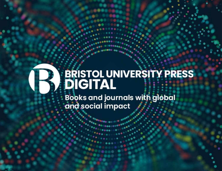# **BRISTOL UNIVERSITY PRESS**

bristoluniversitypressdigital.com

Books and journals with global and social impact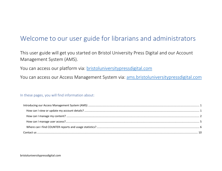# Welcome to our user guide for librarians and administrators

This user guide will get you started on Bristol University Press Digital and our Account Management System (AMS).

You can access our platform via: [bristoluniversitypressdigital.com](https://bristoluniversitypressdigital.com/)

You can access our Access Management System via: ams.bristoluniversitypressdigital.com

# In these pages, you will find information about: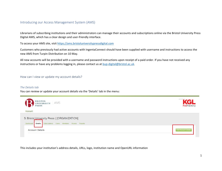# <span id="page-2-0"></span>Introducing our Access Management System (AMS)

Librarians of subscribing institutions and their administrators can manage their accounts and subscriptions online via the Bristol University Press Digital AMS, which has a clear design and user-friendly interface.

To access your AMS site, visi[t https://ams.bristoluniversitypressdigital.com](https://ams.bristoluniversitypressdigital.com/)

Customers who previously had active accounts with IngentaConnect should have been supplied with username and instructions to access the new AMS from Turpin Distribution on 10 May.

All new accounts will be provided with a username and password instructions upon receipt of a paid order. If you have not received any instructions or have any problems logging in, please contact us at [bup-digital@bristol.ac.uk.](mailto:bup-digital@bristol.ac.uk)

#### <span id="page-2-1"></span>How can I view or update my account details?

#### *The Details tab*

You can review or update your account details via the 'Details' tab in the menu:



This includes your institution's address details, URLs, logo, institution name and OpenURL information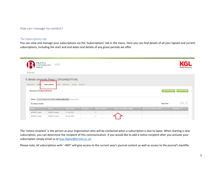#### <span id="page-3-0"></span>How can I manage my content?

#### *The Subscriptions tab*

You can view and manage your subscriptions via the 'Subscriptions' tab in the menu. Here you can find details of all your lapsed and current subscriptions, including the start and end dates and details of any grace periods we offer.

| <b>PRESS</b><br>Account        | BRISTOL<br>UNIVERSITY AMS                                                    |                   |                 |                     |                       |                        | powered<br>PubFactory                     |
|--------------------------------|------------------------------------------------------------------------------|-------------------|-----------------|---------------------|-----------------------|------------------------|-------------------------------------------|
| Dashboard<br>Deta <sub>s</sub> | 5: Bristol University Press [[ORGANIZATION]<br>Subscriptions<br><b>Users</b> | Members Access    | Reports         |                     |                       |                        |                                           |
| <b>Account Subscriptions</b>   | Filters <b>EX</b> Subscription Ends Within: After 28 Mar 2022 Modify Filters |                   |                 |                     |                       |                        | Add Subscription<br><b>Export Results</b> |
| Showing 2 results              |                                                                              |                   |                 |                     |                       | Page Size:             | $100 \sim$                                |
| <b>NAME</b>                    | OFFER                                                                        | <b>START DATE</b> | <b>END DATE</b> | <b>GRACE PERIOD</b> | NOTICE RECIPIENT NAME | NOTICE RECIPIENT EMAIL | <b>EXTERNAL ID</b>                        |
| All BUP content                | All BUP content                                                              | 01 Jun 2021       |                 | $\mathbf{0}$        |                       |                        |                                           |

The 'notice recipient' is the person at your organisation who will be contacted when a subscription is due to lapse. When starting a new subscription, you can determine the recipient of this communication. If you would like to add a notice recipient after you activate your subscription simply email us a[t bup-digital@bristol.ac.uk.](mailto:bup-digital@bristol.ac.uk)

Please note, all subscriptions with '-INST' will give access to the current year's journal content as well as access to the journal's backfile.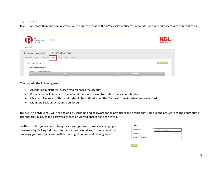#### *The Users tab*

If you have more than one administrator who requires access to the AMS, click the 'Users' tab to add, view and edit users with different roles:

| BRISTOL<br>UNIVERSITY AMS<br><b>PRESS</b><br>Account                                                         |       |       |                | powere<br><b>PubFactory</b> |
|--------------------------------------------------------------------------------------------------------------|-------|-------|----------------|-----------------------------|
| 5: Bristol University Press   [ORGANIZATION]<br>Dashboard Details Subscriptions Users Members Access Reports |       |       |                |                             |
| <b>Account Users</b>                                                                                         |       |       |                | Add New User                |
| <b>Account Administrator</b><br>A user who manages the account.                                              |       |       |                |                             |
| <b>NAME</b>                                                                                                  | EMAIL | PHONE | <b>ACTIONS</b> |                             |

You can add the following users:

- Account administrator: A user who manages the account
- Primary contact : A person to contact if there is a reason to contact the account holder
- Librarian: The role for those who should be notified when the 'Request from librarian' feature is used
- Member: Basic association to an account

**IMPORTANT NOTE**: You will need to add a username and password for all new users and ensure that you give the password to the appropriate user before saving, as the password cannot be viewed once it has been saved.

Within this tab you can also change your user password. You can change your password by clicking 'Edit' next to the user you would like to amend and then entering your new password within the 'Login' section and clicking save.'

| Login<br><b>Username</b> | *<br>bristoluniversitypress |
|--------------------------|-----------------------------|
| Password                 |                             |
|                          |                             |
| <b>Confirm Password</b>  |                             |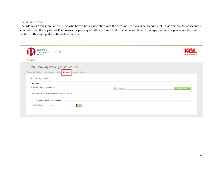# *The Members tab*

The 'Members' tab shows all the users who have a basic association with the account – this could be accounts set up via Shibboleth, or accounts created within the registered IP addresses for your organisation. For more information about how to manage user access, please see the next section of this user guide, entitled 'User access':

| BRISTOL<br>UNIVERSITY AMS<br><b>PRESS</b>                                                                       | powere<br>PubFactor            |
|-----------------------------------------------------------------------------------------------------------------|--------------------------------|
| Account                                                                                                         |                                |
| 5: Bristol University Press   [ORGANIZATION]<br>Dashboard Details Subscriptions Users<br>Members Access Reports |                                |
|                                                                                                                 |                                |
| <b>Account Members</b>                                                                                          |                                |
| Member<br>Basic association to an account.                                                                      | Find Individual.<br>Add Member |
| There are currently no Member associations in this account.                                                     |                                |
| <b><i>P</i></b> Institutional Access Tokens                                                                     |                                |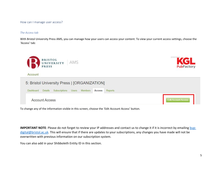<span id="page-6-0"></span>How can I manage user access?

#### *The Access tab*

With Bristol University Press AMS, you can manage how your users can access your content. To view your current access settings, choose the 'Access' tab:



To change any of the information visible in this screen, choose the 'Edit Account Access' button.

**IMPORTANT NOTE**: Please do not forget to review your IP addresses and contact us to change it if it is incorrect by emailing [bup](mailto:bup-digital@bristol.ac.uk)[digital@bristol.ac.uk.](mailto:bup-digital@bristol.ac.uk) This will ensure that if there are updates to your subscriptions, any changes you have made will not be overwritten with previous information on our subscription system.

You can also add in your Shibboleth Entity ID in this section.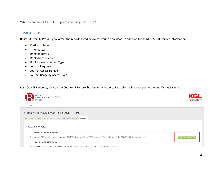# <span id="page-7-0"></span>Where can I find COUNTER reports and usage statistics?

#### *The Reports tab*

Bristol University Press Digital offers the reports listed below for you to download, in addition to the NISO SUSHI service information:

- Platform Usage
- Title Master
- Book Requests
- Book Access Denied
- Book Usage by Access Type
- Journal Requests
- Journal Access Denied
- Journal Usage by Access Type

For COUNTER reports, click on the Counter 5 Reports button in the Reports Tab, which will direct you to the IntelWorks System.

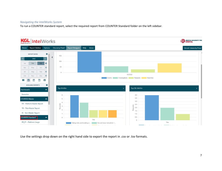# *Navigating the IntelWorks System*

To run a COUNTER standard report, select the required report from COUNTER Standard folder on the left sidebar.



Use the settings drop down on the right hand side to export the report in .csv or .tsv formats.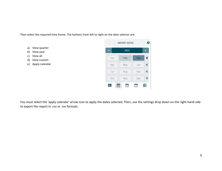Then select the required time frame. The buttons from left to right on the date selector are:

- a) View quarter
- b) View year
- c) View all
- d) View custom
- e) Apply calendar



You must select the 'apply calendar' arrow icon to apply the dates selected. Then, use the settings drop down on the right-hand side to export the report in .csv or .tsv formats.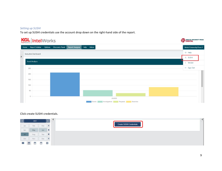### *Setting up SUSHI*

To set up SUSHI credentials use the account drop down on the right-hand side of the report.



## Click create SUSHI credentials.